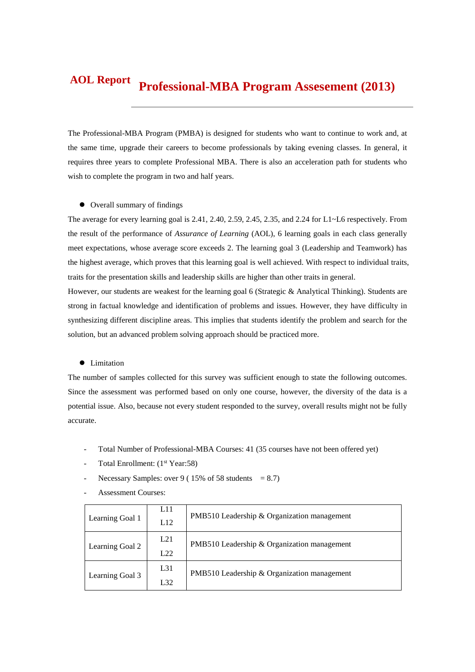#### **Professional-MBA Program Assesement (2013) AOL Report**

The Professional-MBA Program (PMBA) is designed for students who want to continue to work and, at the same time, upgrade their careers to become professionals by taking evening classes. In general, it requires three years to complete Professional MBA. There is also an acceleration path for students who wish to complete the program in two and half years.

#### $\bullet$  Overall summary of findings

The average for every learning goal is 2.41, 2.40, 2.59, 2.45, 2.35, and 2.24 for L1~L6 respectively. From the result of the performance of *Assurance of Learning* (AOL), 6 learning goals in each class generally meet expectations, whose average score exceeds 2. The learning goal 3 (Leadership and Teamwork) has the highest average, which proves that this learning goal is well achieved. With respect to individual traits, traits for the presentation skills and leadership skills are higher than other traits in general.

However, our students are weakest for the learning goal 6 (Strategic & Analytical Thinking). Students are strong in factual knowledge and identification of problems and issues. However, they have difficulty in synthesizing different discipline areas. This implies that students identify the problem and search for the solution, but an advanced problem solving approach should be practiced more.

#### **•** Limitation

The number of samples collected for this survey was sufficient enough to state the following outcomes. Since the assessment was performed based on only one course, however, the diversity of the data is a potential issue. Also, because not every student responded to the survey, overall results might not be fully accurate.

- Total Number of Professional-MBA Courses: 41 (35 courses have not been offered yet)
- Total Enrollment: (1<sup>st</sup> Year:58)
- Necessary Samples: over 9 ( $15\%$  of 58 students = 8.7)
- Assessment Courses:

| Learning Goal 1 | L11<br>L12 | PMB510 Leadership & Organization management |  |  |  |
|-----------------|------------|---------------------------------------------|--|--|--|
| Learning Goal 2 | L21<br>L22 | PMB510 Leadership & Organization management |  |  |  |
| Learning Goal 3 | L31<br>L32 | PMB510 Leadership & Organization management |  |  |  |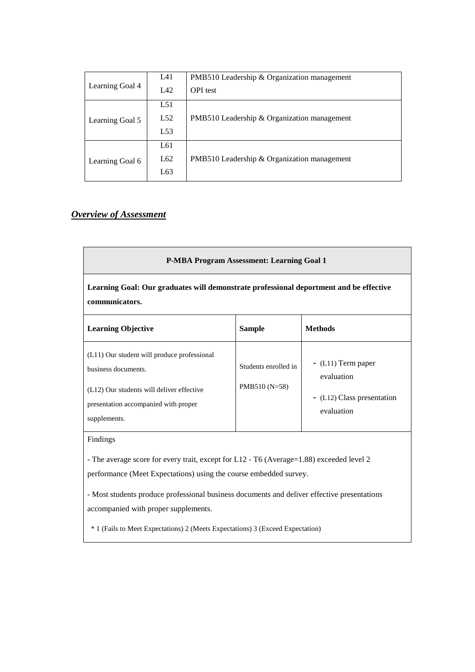|                 | L41 | PMB510 Leadership & Organization management |  |  |  |  |
|-----------------|-----|---------------------------------------------|--|--|--|--|
| Learning Goal 4 | LA2 | <b>OPI</b> test                             |  |  |  |  |
|                 | L51 |                                             |  |  |  |  |
| Learning Goal 5 | L52 | PMB510 Leadership & Organization management |  |  |  |  |
|                 | L53 |                                             |  |  |  |  |
|                 | L61 |                                             |  |  |  |  |
| Learning Goal 6 | L62 | PMB510 Leadership & Organization management |  |  |  |  |
|                 | L63 |                                             |  |  |  |  |

# *Overview of Assessment*

| <b>P-MBA Program Assessment: Learning Goal 1</b>                                                                                                                        |                                       |                                                                              |  |  |  |
|-------------------------------------------------------------------------------------------------------------------------------------------------------------------------|---------------------------------------|------------------------------------------------------------------------------|--|--|--|
| Learning Goal: Our graduates will demonstrate professional deportment and be effective<br>communicators.                                                                |                                       |                                                                              |  |  |  |
| <b>Learning Objective</b>                                                                                                                                               | <b>Sample</b>                         | <b>Methods</b>                                                               |  |  |  |
| (L11) Our student will produce professional<br>business documents.<br>(L12) Our students will deliver effective<br>presentation accompanied with proper<br>supplements. | Students enrolled in<br>PMB510 (N=58) | - (L11) Term paper<br>evaluation<br>- (L12) Class presentation<br>evaluation |  |  |  |
| Findings                                                                                                                                                                |                                       |                                                                              |  |  |  |

- The average score for every trait, except for L12 - T6 (Average=1.88) exceeded level 2 performance (Meet Expectations) using the course embedded survey.

- Most students produce professional business documents and deliver effective presentations accompanied with proper supplements.

\* 1 (Fails to Meet Expectations) 2 (Meets Expectations) 3 (Exceed Expectation)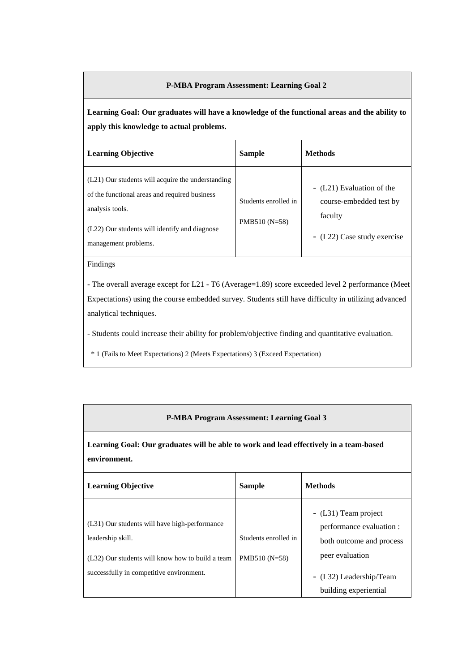## **P-MBA Program Assessment: Learning Goal 2**

**Learning Goal: Our graduates will have a knowledge of the functional areas and the ability to apply this knowledge to actual problems.**

| <b>Learning Objective</b>                                                                                                                                                                      | <b>Sample</b>                          | <b>Methods</b>                                                                                 |
|------------------------------------------------------------------------------------------------------------------------------------------------------------------------------------------------|----------------------------------------|------------------------------------------------------------------------------------------------|
| (L21) Our students will acquire the understanding<br>of the functional areas and required business<br>analysis tools.<br>(L22) Our students will identify and diagnose<br>management problems. | Students enrolled in<br>$PMB510(N=58)$ | - (L21) Evaluation of the<br>course-embedded test by<br>faculty<br>- (L22) Case study exercise |

Findings

- The overall average except for L21 - T6 (Average=1.89) score exceeded level 2 performance (Meet Expectations) using the course embedded survey. Students still have difficulty in utilizing advanced analytical techniques.

- Students could increase their ability for problem/objective finding and quantitative evaluation.

\* 1 (Fails to Meet Expectations) 2 (Meets Expectations) 3 (Exceed Expectation)

# **P-MBA Program Assessment: Learning Goal 3**

**Learning Goal: Our graduates will be able to work and lead effectively in a team-based environment.**

| <b>Learning Objective</b>                                                                                                                                          | <b>Sample</b>                           | <b>Methods</b>                                                                                                                                      |
|--------------------------------------------------------------------------------------------------------------------------------------------------------------------|-----------------------------------------|-----------------------------------------------------------------------------------------------------------------------------------------------------|
| (L31) Our students will have high-performance<br>leadership skill.<br>(L32) Our students will know how to build a team<br>successfully in competitive environment. | Students enrolled in<br>PMB510 $(N=58)$ | - (L31) Team project<br>performance evaluation :<br>both outcome and process<br>peer evaluation<br>- (L32) Leadership/Team<br>building experiential |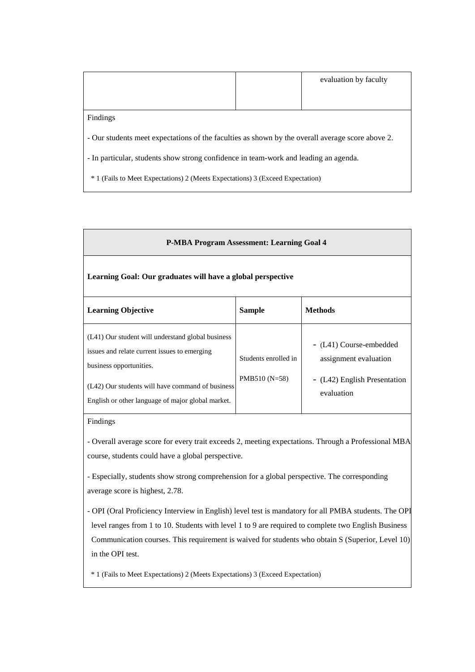|                                                                                                  |  | evaluation by faculty |  |
|--------------------------------------------------------------------------------------------------|--|-----------------------|--|
|                                                                                                  |  |                       |  |
|                                                                                                  |  |                       |  |
| Findings                                                                                         |  |                       |  |
| - Our students meet expectations of the faculties as shown by the overall average score above 2. |  |                       |  |
| - In particular, students show strong confidence in team-work and leading an agenda.             |  |                       |  |
|                                                                                                  |  |                       |  |
| <sup>*</sup> 1 (Fails to Meet Expectations) 2 (Meets Expectations) 3 (Exceed Expectation)        |  |                       |  |

| Learning Goal: Our graduates will have a global perspective |  |
|-------------------------------------------------------------|--|
|                                                             |  |

**P-MBA Program Assessment: Learning Goal 4**

| <b>Learning Objective</b>                                                                                                                                                                                                             | <b>Sample</b>                          | <b>Methods</b>                                                                                 |
|---------------------------------------------------------------------------------------------------------------------------------------------------------------------------------------------------------------------------------------|----------------------------------------|------------------------------------------------------------------------------------------------|
| (L41) Our student will understand global business<br>issues and relate current issues to emerging<br>business opportunities.<br>(L42) Our students will have command of business<br>English or other language of major global market. | Students enrolled in<br>$PMB510(N=58)$ | - (L41) Course-embedded<br>assignment evaluation<br>- (L42) English Presentation<br>evaluation |

#### Findings

- Overall average score for every trait exceeds 2, meeting expectations. Through a Professional MBA course, students could have a global perspective.

- Especially, students show strong comprehension for a global perspective. The corresponding average score is highest, 2.78.

- OPI (Oral Proficiency Interview in English) level test is mandatory for all PMBA students. The OPI level ranges from 1 to 10. Students with level 1 to 9 are required to complete two English Business Communication courses. This requirement is waived for students who obtain S (Superior, Level 10) in the OPI test.

\* 1 (Fails to Meet Expectations) 2 (Meets Expectations) 3 (Exceed Expectation)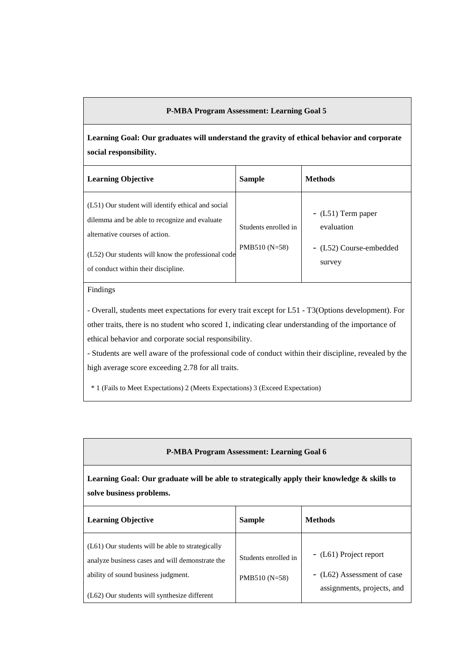#### **P-MBA Program Assessment: Learning Goal 5**

**Learning Goal: Our graduates will understand the gravity of ethical behavior and corporate social responsibility.**

| <b>Learning Objective</b>                                                                                                                                                                                                          | <b>Sample</b>                          | <b>Methods</b>                                                         |
|------------------------------------------------------------------------------------------------------------------------------------------------------------------------------------------------------------------------------------|----------------------------------------|------------------------------------------------------------------------|
| (L51) Our student will identify ethical and social<br>dilemma and be able to recognize and evaluate<br>alternative courses of action.<br>(L52) Our students will know the professional code<br>of conduct within their discipline. | Students enrolled in<br>$PMB510(N=58)$ | $-L51$ ) Term paper<br>evaluation<br>- (L52) Course-embedded<br>survey |

#### Findings

- Overall, students meet expectations for every trait except for L51 - T3(Options development). For other traits, there is no student who scored 1, indicating clear understanding of the importance of ethical behavior and corporate social responsibility.

- Students are well aware of the professional code of conduct within their discipline, revealed by the high average score exceeding 2.78 for all traits.

\* 1 (Fails to Meet Expectations) 2 (Meets Expectations) 3 (Exceed Expectation)

### **P-MBA Program Assessment: Learning Goal 6**

**Learning Goal: Our graduate will be able to strategically apply their knowledge & skills to solve business problems.**

| <b>Learning Objective</b>                                                                                                                                                                    | <b>Sample</b>                          | <b>Methods</b>                                                                     |
|----------------------------------------------------------------------------------------------------------------------------------------------------------------------------------------------|----------------------------------------|------------------------------------------------------------------------------------|
| $(L61)$ Our students will be able to strategically<br>analyze business cases and will demonstrate the<br>ability of sound business judgment.<br>(L62) Our students will synthesize different | Students enrolled in<br>$PMB510(N=58)$ | - (L61) Project report<br>- (L62) Assessment of case<br>assignments, projects, and |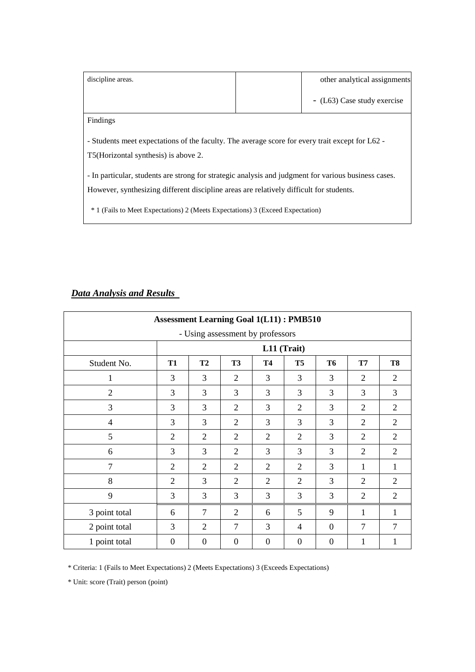| discipline areas.                                                                                                                                                                               |  | other analytical assignments |  |  |
|-------------------------------------------------------------------------------------------------------------------------------------------------------------------------------------------------|--|------------------------------|--|--|
|                                                                                                                                                                                                 |  | - (L63) Case study exercise  |  |  |
| Findings                                                                                                                                                                                        |  |                              |  |  |
| - Students meet expectations of the faculty. The average score for every trait except for L62 -<br>T5 (Horizontal synthesis) is above 2.                                                        |  |                              |  |  |
| - In particular, students are strong for strategic analysis and judgment for various business cases.<br>However, synthesizing different discipline areas are relatively difficult for students. |  |                              |  |  |
| <sup>*</sup> 1 (Fails to Meet Expectations) 2 (Meets Expectations) 3 (Exceed Expectation)                                                                                                       |  |                              |  |  |

# *Data Analysis and Results*

| <b>Assessment Learning Goal 1(L11): PMB510</b> |                |                |                |             |                |                |                |                |
|------------------------------------------------|----------------|----------------|----------------|-------------|----------------|----------------|----------------|----------------|
| - Using assessment by professors               |                |                |                |             |                |                |                |                |
|                                                |                |                |                | L11 (Trait) |                |                |                |                |
| Student No.                                    | <b>T1</b>      | <b>T2</b>      | <b>T3</b>      | <b>T4</b>   | T <sub>5</sub> | <b>T6</b>      | T7             | T <sub>8</sub> |
| 1                                              | 3              | 3              | $\overline{2}$ | 3           | 3              | 3              | $\overline{2}$ | $\overline{2}$ |
| $\overline{2}$                                 | 3              | 3              | 3              | 3           | 3              | 3              | 3              | 3              |
| 3                                              | 3              | 3              | $\overline{2}$ | 3           | $\overline{2}$ | 3              | 2              | $\overline{2}$ |
| $\overline{4}$                                 | 3              | 3              | $\overline{2}$ | 3           | 3              | 3              | $\overline{2}$ | $\overline{2}$ |
| 5                                              | $\overline{2}$ | $\overline{2}$ | $\overline{2}$ | 2           | $\overline{2}$ | 3              | $\overline{2}$ | $\overline{2}$ |
| 6                                              | 3              | 3              | $\overline{2}$ | 3           | 3              | 3              | $\overline{2}$ | $\overline{2}$ |
| $\overline{7}$                                 | 2              | $\overline{2}$ | 2              | 2           | 2              | 3              | 1              | 1              |
| 8                                              | $\overline{2}$ | 3              | $\overline{2}$ | 2           | $\overline{2}$ | 3              | 2              | $\overline{2}$ |
| 9                                              | 3              | 3              | 3              | 3           | 3              | 3              | 2              | $\overline{2}$ |
| 3 point total                                  | 6              | 7              | $\overline{2}$ | 6           | 5              | 9              | 1              | $\mathbf{1}$   |
| 2 point total                                  | 3              | $\overline{2}$ | 7              | 3           | 4              | $\Omega$       | 7              | 7              |
| 1 point total                                  | $\overline{0}$ | $\mathbf{0}$   | $\theta$       | $\Omega$    | $\theta$       | $\overline{0}$ | 1              | 1              |

\* Criteria: 1 (Fails to Meet Expectations) 2 (Meets Expectations) 3 (Exceeds Expectations)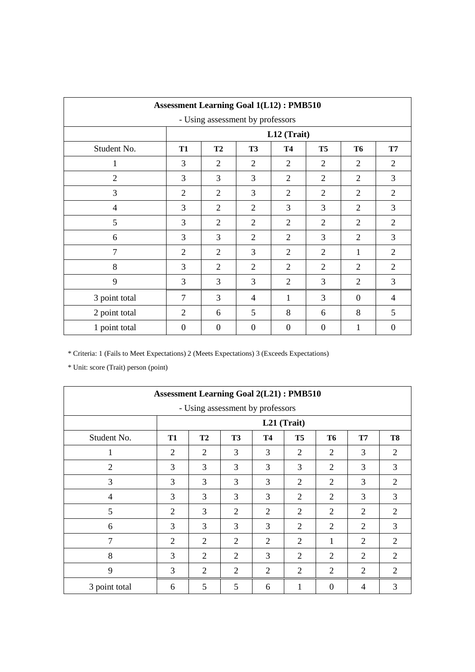|                | <b>Assessment Learning Goal 1(L12): PMB510</b> |                |                |                |                |                |                  |  |
|----------------|------------------------------------------------|----------------|----------------|----------------|----------------|----------------|------------------|--|
|                | - Using assessment by professors               |                |                |                |                |                |                  |  |
|                |                                                |                |                | L12 (Trait)    |                |                |                  |  |
| Student No.    | <b>T1</b>                                      | <b>T2</b>      | T <sub>3</sub> | <b>T4</b>      | T <sub>5</sub> | <b>T6</b>      | <b>T7</b>        |  |
| 1              | 3                                              | $\overline{2}$ | $\overline{2}$ | $\overline{2}$ | 2              | $\overline{2}$ | $\overline{2}$   |  |
| $\overline{2}$ | 3                                              | 3              | 3              | $\overline{2}$ | $\overline{2}$ | 2              | 3                |  |
| 3              | $\overline{2}$                                 | $\overline{2}$ | 3              | $\overline{2}$ | $\overline{2}$ | $\overline{2}$ | $\overline{2}$   |  |
| $\overline{4}$ | 3                                              | $\overline{2}$ | $\overline{2}$ | 3              | 3              | $\overline{2}$ | 3                |  |
| 5              | 3                                              | $\overline{2}$ | $\overline{2}$ | $\overline{2}$ | $\overline{2}$ | $\overline{2}$ | $\overline{2}$   |  |
| 6              | 3                                              | 3              | $\overline{2}$ | $\overline{2}$ | 3              | $\overline{2}$ | 3                |  |
| $\overline{7}$ | $\overline{2}$                                 | $\overline{2}$ | 3              | $\overline{2}$ | $\overline{2}$ | 1              | 2                |  |
| 8              | 3                                              | $\overline{2}$ | $\overline{2}$ | $\overline{2}$ | $\overline{2}$ | $\overline{2}$ | 2                |  |
| 9              | 3                                              | 3              | 3              | $\overline{2}$ | 3              | 2              | 3                |  |
| 3 point total  | 7                                              | 3              | $\overline{4}$ | 1              | 3              | $\Omega$       | $\overline{4}$   |  |
| 2 point total  | $\overline{2}$                                 | 6              | 5              | 8              | 6              | 8              | 5                |  |
| 1 point total  | $\Omega$                                       | $\Omega$       | $\Omega$       | $\mathbf{0}$   | $\Omega$       | 1              | $\boldsymbol{0}$ |  |

|                | <b>Assessment Learning Goal 2(L21): PMB510</b> |                |                |                                  |                |                  |                |                |
|----------------|------------------------------------------------|----------------|----------------|----------------------------------|----------------|------------------|----------------|----------------|
|                |                                                |                |                | - Using assessment by professors |                |                  |                |                |
|                |                                                |                |                | L21 (Trait)                      |                |                  |                |                |
| Student No.    | <b>T1</b>                                      | T <sub>2</sub> | T <sub>3</sub> | <b>T4</b>                        | T <sub>5</sub> | T <sub>6</sub>   | <b>T7</b>      | T <sub>8</sub> |
| 1              | 2                                              | $\overline{2}$ | 3              | 3                                | 2              | 2                | 3              | 2              |
| $\overline{2}$ | 3                                              | 3              | 3              | 3                                | 3              | $\overline{2}$   | 3              | 3              |
| 3              | 3                                              | 3              | 3              | 3                                | $\overline{2}$ | 2                | 3              | 2              |
| $\overline{4}$ | 3                                              | 3              | 3              | 3                                | $\overline{2}$ | 2                | 3              | 3              |
| 5              | $\overline{2}$                                 | 3              | $\overline{2}$ | 2                                | $\overline{2}$ | $\overline{2}$   | $\overline{2}$ | 2              |
| 6              | 3                                              | 3              | 3              | 3                                | $\overline{2}$ | 2                | $\overline{2}$ | 3              |
| 7              | $\overline{2}$                                 | $\overline{2}$ | 2              | 2                                | $\overline{2}$ | 1                | $\overline{2}$ | 2              |
| 8              | 3                                              | $\overline{2}$ | $\overline{2}$ | 3                                | $\overline{2}$ | 2                | $\overline{2}$ | $\overline{2}$ |
| 9              | 3                                              | $\overline{2}$ | $\overline{2}$ | $\overline{2}$                   | $\overline{2}$ | $\mathfrak{2}$   | $\overline{2}$ | 2              |
| 3 point total  | 6                                              | 5              | 5              | 6                                | 1              | $\boldsymbol{0}$ | 4              | 3              |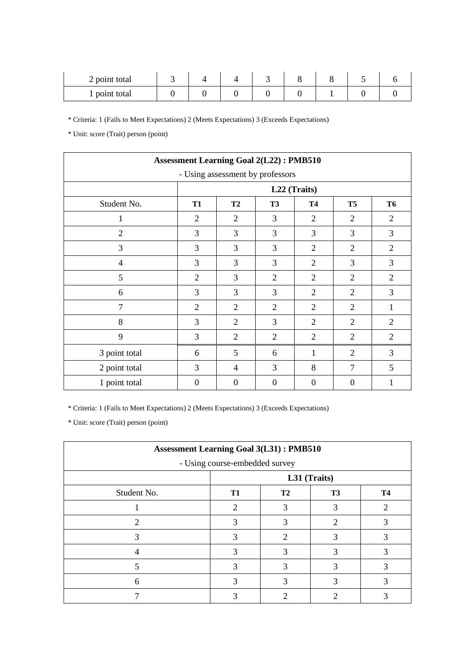| 2 point total |  |  |  |  |
|---------------|--|--|--|--|
| 1 point total |  |  |  |  |

\* Unit: score (Trait) person (point)

| <b>Assessment Learning Goal 2(L22): PMB510</b> |                |                |                                  |                |                |                |
|------------------------------------------------|----------------|----------------|----------------------------------|----------------|----------------|----------------|
|                                                |                |                | - Using assessment by professors |                |                |                |
|                                                |                |                |                                  | L22 (Traits)   |                |                |
| Student No.                                    | <b>T1</b>      | <b>T2</b>      | T <sub>3</sub>                   | <b>T4</b>      | T <sub>5</sub> | T <sub>6</sub> |
| 1                                              | $\overline{2}$ | $\overline{2}$ | 3                                | $\overline{2}$ | 2              | $\overline{2}$ |
| $\overline{2}$                                 | 3              | 3              | 3                                | 3              | 3              | 3              |
| 3                                              | 3              | 3              | 3                                | $\overline{2}$ | $\overline{2}$ | $\overline{2}$ |
| 4                                              | 3              | 3              | 3                                | $\overline{2}$ | 3              | 3              |
| 5                                              | $\overline{2}$ | 3              | 2                                | $\overline{2}$ | 2              | $\overline{2}$ |
| 6                                              | 3              | 3              | $\overline{3}$                   | $\overline{2}$ | $\overline{2}$ | 3              |
| $\overline{7}$                                 | $\overline{2}$ | $\overline{2}$ | $\overline{2}$                   | $\overline{2}$ | $\overline{2}$ | 1              |
| 8                                              | 3              | $\overline{2}$ | 3                                | $\overline{2}$ | $\overline{2}$ | $\overline{2}$ |
| 9                                              | 3              | $\overline{2}$ | $\overline{2}$                   | $\overline{2}$ | $\overline{2}$ | $\overline{2}$ |
| 3 point total                                  | 6              | 5              | 6                                | 1              | $\overline{2}$ | 3              |
| 2 point total                                  | 3              | 4              | 3                                | 8              | 7              | 5              |
| 1 point total                                  | $\mathbf{0}$   | $\overline{0}$ | $\boldsymbol{0}$                 | $\theta$       | $\overline{0}$ | 1              |

\* Criteria: 1 (Fails to Meet Expectations) 2 (Meets Expectations) 3 (Exceeds Expectations)

| <b>Assessment Learning Goal 3(L31): PMB510</b> |                                |                |           |           |  |
|------------------------------------------------|--------------------------------|----------------|-----------|-----------|--|
|                                                | - Using course-embedded survey |                |           |           |  |
|                                                |                                | L31 (Traits)   |           |           |  |
| Student No.                                    | T <sub>1</sub>                 | T <sub>2</sub> | <b>T3</b> | <b>T4</b> |  |
|                                                | 2                              |                |           | 2         |  |
|                                                | 3                              | 3              | 2         |           |  |
|                                                |                                | っ              | 3         |           |  |
|                                                |                                | 3              | 3         |           |  |
|                                                |                                | 3              | 3         |           |  |
| h                                              |                                |                |           |           |  |
|                                                |                                |                |           |           |  |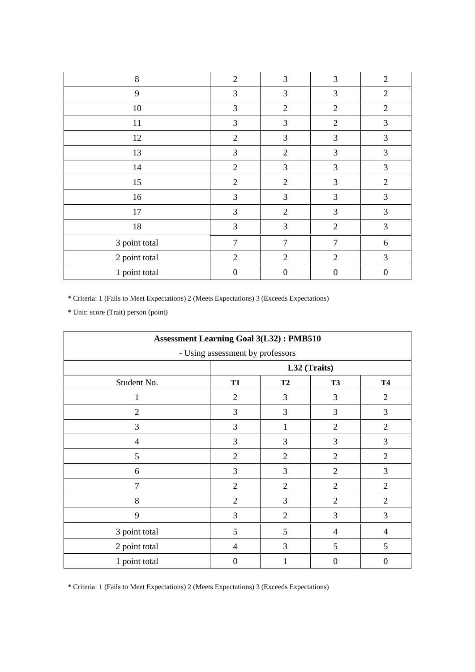| 8             | $\overline{2}$ | 3              | 3              | $\overline{2}$ |
|---------------|----------------|----------------|----------------|----------------|
| 9             | 3              | 3              | 3              | $\overline{2}$ |
| 10            | 3              | $\overline{2}$ | $\overline{2}$ | $\mathfrak{2}$ |
| 11            | 3              | 3              | $\overline{2}$ | 3              |
| 12            | $\overline{2}$ | 3              | 3              | 3              |
| 13            | 3              | $\overline{2}$ | 3              | 3              |
| 14            | $\overline{2}$ | 3              | 3              | 3              |
| 15            | $\overline{2}$ | $\overline{2}$ | 3              | $\overline{2}$ |
| 16            | 3              | 3              | 3              | 3              |
| 17            | 3              | $\overline{2}$ | 3              | 3              |
| 18            | 3              | 3              | $\overline{2}$ | 3              |
| 3 point total | 7              | 7              | 7              | 6              |
| 2 point total | $\overline{2}$ | $\overline{2}$ | $\overline{2}$ | 3              |
| 1 point total | $\theta$       | $\mathbf{0}$   | $\mathbf{0}$   | $\overline{0}$ |

\* Unit: score (Trait) person (point)

| <b>Assessment Learning Goal 3(L32): PMB510</b> |                                  |                |                  |                |  |
|------------------------------------------------|----------------------------------|----------------|------------------|----------------|--|
|                                                | - Using assessment by professors |                |                  |                |  |
|                                                | L32 (Traits)                     |                |                  |                |  |
| Student No.                                    | <b>T1</b>                        | <b>T2</b>      | <b>T3</b>        | <b>T4</b>      |  |
|                                                | $\overline{2}$                   | 3              | 3                | $\overline{2}$ |  |
| $\mathfrak{2}$                                 | 3                                | 3              | 3                | 3              |  |
| 3                                              | 3                                | 1              | $\overline{2}$   | $\overline{2}$ |  |
| 4                                              | 3                                | 3              | 3                | 3              |  |
| 5                                              | $\overline{2}$                   | $\overline{2}$ | $\overline{2}$   | $\overline{2}$ |  |
| 6                                              | 3                                | 3              | $\overline{2}$   | 3              |  |
| $\tau$                                         | $\overline{2}$                   | $\overline{2}$ | $\overline{2}$   | $\overline{2}$ |  |
| 8                                              | $\overline{2}$                   | 3              | $\overline{2}$   | $\overline{2}$ |  |
| 9                                              | 3                                | $\overline{2}$ | 3                | 3              |  |
| 3 point total                                  | 5                                | 5              | $\overline{4}$   | 4              |  |
| 2 point total                                  | 4                                | 3              | 5                | 5              |  |
| 1 point total                                  | $\boldsymbol{0}$                 |                | $\boldsymbol{0}$ | $\overline{0}$ |  |

\* Criteria: 1 (Fails to Meet Expectations) 2 (Meets Expectations) 3 (Exceeds Expectations)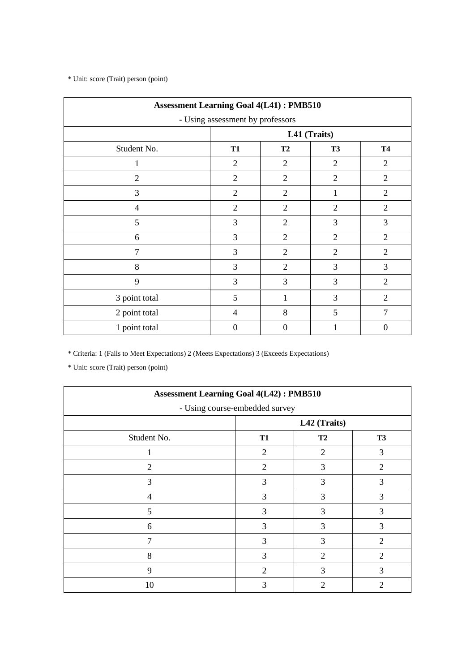\* Unit: score (Trait) person (point)

| <b>Assessment Learning Goal 4(L41): PMB510</b> |                                  |                  |                |                  |  |
|------------------------------------------------|----------------------------------|------------------|----------------|------------------|--|
|                                                | - Using assessment by professors |                  |                |                  |  |
|                                                |                                  |                  | L41 (Traits)   |                  |  |
| Student No.                                    | <b>T1</b>                        | <b>T2</b>        | T3             | <b>T4</b>        |  |
| 1                                              | $\overline{2}$                   | $\overline{2}$   | $\overline{2}$ | $\overline{2}$   |  |
| $\overline{2}$                                 | $\overline{2}$                   | $\overline{2}$   | $\overline{2}$ | $\overline{2}$   |  |
| $\overline{3}$                                 | $\overline{2}$                   | $\mathfrak{2}$   | 1              | $\overline{2}$   |  |
| 4                                              | $\overline{2}$                   | $\overline{2}$   | $\overline{2}$ | $\overline{2}$   |  |
| 5                                              | 3                                | $\overline{2}$   | 3              | 3                |  |
| 6                                              | 3                                | $\mathfrak{2}$   | $\overline{2}$ | $\overline{2}$   |  |
| $\overline{7}$                                 | 3                                | $\overline{2}$   | $\overline{2}$ | 2                |  |
| 8                                              | 3                                | $\overline{2}$   | 3              | 3                |  |
| 9                                              | $\overline{3}$                   | 3                | 3              | $\overline{2}$   |  |
| 3 point total                                  | 5                                |                  | 3              | $\overline{2}$   |  |
| 2 point total                                  | 4                                | 8                | 5              | 7                |  |
| 1 point total                                  | $\overline{0}$                   | $\boldsymbol{0}$ |                | $\boldsymbol{0}$ |  |

\* Criteria: 1 (Fails to Meet Expectations) 2 (Meets Expectations) 3 (Exceeds Expectations)

| <b>Assessment Learning Goal 4(L42): PMB510</b> |                                |                |                |  |  |  |  |
|------------------------------------------------|--------------------------------|----------------|----------------|--|--|--|--|
|                                                | - Using course-embedded survey |                |                |  |  |  |  |
|                                                |                                | L42 (Traits)   |                |  |  |  |  |
| Student No.                                    | <b>T1</b>                      | T2             | <b>T3</b>      |  |  |  |  |
|                                                | $\overline{2}$                 | 2              | 3              |  |  |  |  |
| $\overline{2}$                                 | $\overline{2}$                 | 3              | 2              |  |  |  |  |
| 3                                              | 3                              | 3              | 3              |  |  |  |  |
| 4                                              | 3                              | 3              | 3              |  |  |  |  |
| 5                                              | 3                              | 3              | 3              |  |  |  |  |
| 6                                              | 3                              | 3              | 3              |  |  |  |  |
| 7                                              | 3                              | 3              | $\overline{c}$ |  |  |  |  |
| 8                                              | 3                              | $\overline{2}$ | $\overline{c}$ |  |  |  |  |
| 9                                              | $\overline{2}$                 | 3              | 3              |  |  |  |  |
| 10                                             | 3                              | $\mathfrak{D}$ | $\overline{c}$ |  |  |  |  |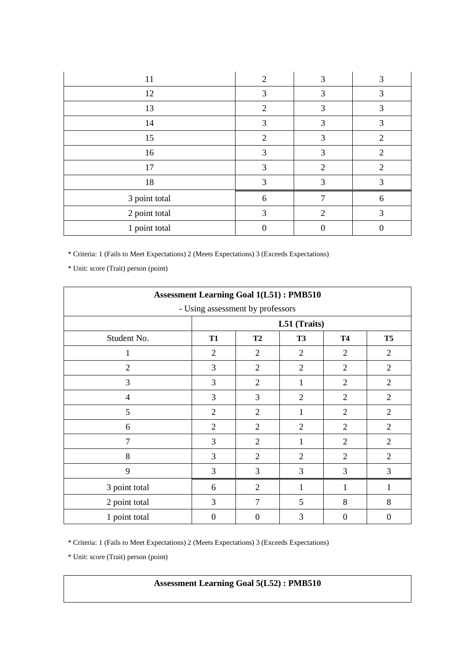| 11            | $\overline{2}$ | 3                           | 3              |
|---------------|----------------|-----------------------------|----------------|
| 12            | 3              | 3                           | 3              |
| 13            | 2              | 3                           | 3              |
| 14            | 3              | 3                           | 3              |
| 15            | 2              | 3                           | $\overline{2}$ |
| 16            | 3              | 3                           | $\overline{2}$ |
| 17            | 3              | $\overline{2}$              | $\overline{2}$ |
| 18            | 3              | 3                           | 3              |
| 3 point total | 6              |                             | 6              |
| 2 point total | 3              | $\mathcal{D}_{\mathcal{L}}$ | 3              |
| 1 point total |                |                             |                |

\* Unit: score (Trait) person (point)

| <b>Assessment Learning Goal 1(L51): PMB510</b> |                                  |                  |                |                |                |  |  |
|------------------------------------------------|----------------------------------|------------------|----------------|----------------|----------------|--|--|
|                                                | - Using assessment by professors |                  |                |                |                |  |  |
|                                                | L51 (Traits)                     |                  |                |                |                |  |  |
| Student No.                                    | <b>T1</b>                        | T <sub>2</sub>   | <b>T3</b>      | <b>T4</b>      | T <sub>5</sub> |  |  |
| 1                                              | $\overline{2}$                   | $\overline{2}$   | $\overline{2}$ | $\overline{2}$ | $\overline{2}$ |  |  |
| $\overline{2}$                                 | 3                                | $\overline{2}$   | $\overline{2}$ | $\overline{2}$ | $\overline{2}$ |  |  |
| $\overline{3}$                                 | 3                                | 2                | 1              | 2              | $\overline{2}$ |  |  |
| 4                                              | 3                                | 3                | $\overline{2}$ | $\overline{2}$ | $\overline{2}$ |  |  |
| 5                                              | $\overline{2}$                   | $\overline{2}$   | 1              | $\overline{2}$ | $\overline{2}$ |  |  |
| 6                                              | $\overline{2}$                   | $\overline{2}$   | $\overline{2}$ | $\mathfrak{2}$ | $\overline{2}$ |  |  |
| $\overline{7}$                                 | 3                                | $\overline{2}$   | 1              | $\overline{2}$ | $\overline{2}$ |  |  |
| 8                                              | 3                                | $\overline{2}$   | 2              | 2              | $\overline{2}$ |  |  |
| 9                                              | 3                                | 3                | 3              | 3              | 3              |  |  |
| 3 point total                                  | 6                                | $\overline{2}$   | 1              | 1              | $\mathbf{1}$   |  |  |
| 2 point total                                  | 3                                | $\overline{7}$   | 5              | 8              | 8              |  |  |
| 1 point total                                  | $\mathbf{0}$                     | $\boldsymbol{0}$ | 3              | $\theta$       | $\theta$       |  |  |

\* Criteria: 1 (Fails to Meet Expectations) 2 (Meets Expectations) 3 (Exceeds Expectations)

\* Unit: score (Trait) person (point)

# **Assessment Learning Goal 5(L52) : PMB510**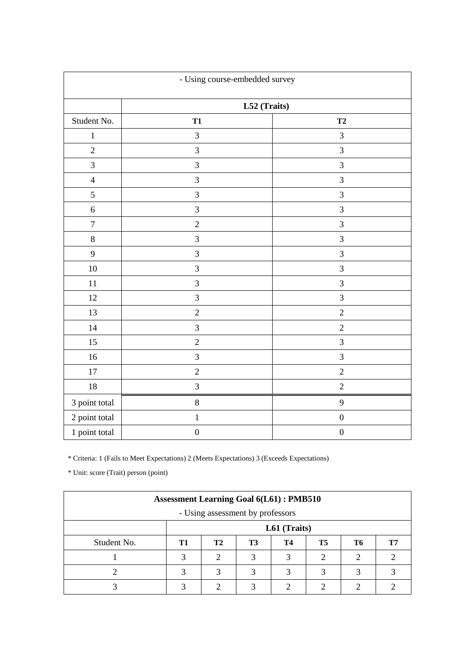| - Using course-embedded survey |                  |                  |  |  |  |
|--------------------------------|------------------|------------------|--|--|--|
|                                | L52 (Traits)     |                  |  |  |  |
| Student No.                    | <b>T1</b>        | T2               |  |  |  |
| $\mathbf{1}$                   | 3                | $\mathfrak{Z}$   |  |  |  |
| $\overline{2}$                 | $\overline{3}$   | $\mathfrak{Z}$   |  |  |  |
| $\overline{3}$                 | $\overline{3}$   | $\overline{3}$   |  |  |  |
| $\overline{4}$                 | 3                | 3                |  |  |  |
| 5                              | $\overline{3}$   | $\overline{3}$   |  |  |  |
| $\sqrt{6}$                     | $\mathfrak{Z}$   | $\mathfrak{Z}$   |  |  |  |
| $\boldsymbol{7}$               | $\overline{2}$   | $\mathfrak{Z}$   |  |  |  |
| $\,8\,$                        | 3                | $\mathfrak{Z}$   |  |  |  |
| 9                              | 3                | 3                |  |  |  |
| $10\,$                         | 3                | $\mathfrak{Z}$   |  |  |  |
| 11                             | 3                | $\mathfrak{Z}$   |  |  |  |
| 12                             | 3                | $\mathfrak{Z}$   |  |  |  |
| 13                             | $\sqrt{2}$       | $\sqrt{2}$       |  |  |  |
| 14                             | 3                | $\sqrt{2}$       |  |  |  |
| 15                             | $\sqrt{2}$       | $\mathfrak 3$    |  |  |  |
| 16                             | 3                | $\mathfrak{Z}$   |  |  |  |
| $17\,$                         | $\sqrt{2}$       | $\sqrt{2}$       |  |  |  |
| $18\,$                         | 3                | $\sqrt{2}$       |  |  |  |
| 3 point total                  | $\,8$            | $\overline{9}$   |  |  |  |
| 2 point total                  | $\,1$            | $\boldsymbol{0}$ |  |  |  |
| 1 point total                  | $\boldsymbol{0}$ | $\boldsymbol{0}$ |  |  |  |

| <b>Assessment Learning Goal 6(L61): PMB510</b> |              |    |           |    |           |    |    |  |
|------------------------------------------------|--------------|----|-----------|----|-----------|----|----|--|
| - Using assessment by professors               |              |    |           |    |           |    |    |  |
|                                                | L61 (Traits) |    |           |    |           |    |    |  |
| Student No.                                    | T1           | T2 | <b>T3</b> | T4 | <b>T5</b> | T6 | Т7 |  |
|                                                |              |    |           |    |           |    |    |  |
|                                                |              |    | 3         | 3  | 3         |    |    |  |
|                                                |              |    | ◠         |    |           |    |    |  |